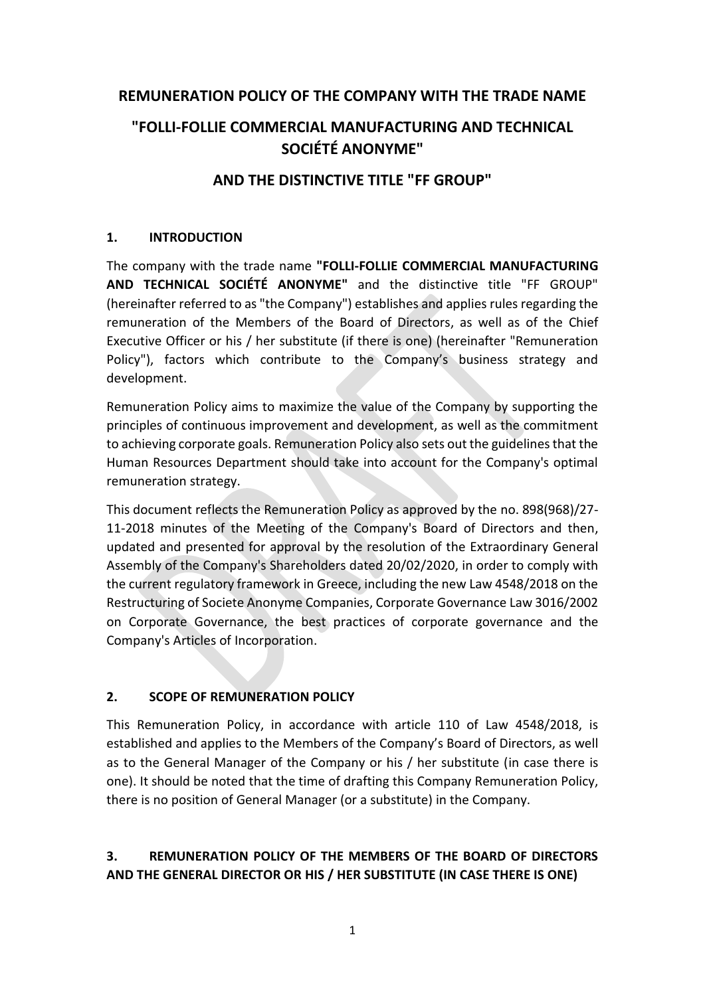### **REMUNERATION POLICY OF THE COMPANY WITH THE TRADE NAME**

# **"FOLLI-FOLLIE COMMERCIAL MANUFACTURING AND TECHNICAL SOCIÉTÉ ANONYME"**

### **AND THE DISTINCTIVE TITLE "FF GROUP"**

### **1. INTRODUCTION**

The company with the trade name **"FOLLI-FOLLIE COMMERCIAL MANUFACTURING AND TECHNICAL SOCIÉTÉ ANONYME"** and the distinctive title "FF GROUP" (hereinafter referred to as "the Company") establishes and applies rules regarding the remuneration of the Members of the Board of Directors, as well as of the Chief Executive Officer or his / her substitute (if there is one) (hereinafter "Remuneration Policy"), factors which contribute to the Company's business strategy and development.

Remuneration Policy aims to maximize the value of the Company by supporting the principles of continuous improvement and development, as well as the commitment to achieving corporate goals. Remuneration Policy also sets out the guidelines that the Human Resources Department should take into account for the Company's optimal remuneration strategy.

This document reflects the Remuneration Policy as approved by the no. 898(968)/27- 11-2018 minutes of the Meeting of the Company's Board of Directors and then, updated and presented for approval by the resolution of the Extraordinary General Assembly of the Company's Shareholders dated 20/02/2020, in order to comply with the current regulatory framework in Greece, including the new Law 4548/2018 on the Restructuring of Societe Anonyme Companies, Corporate Governance Law 3016/2002 on Corporate Governance, the best practices of corporate governance and the Company's Articles of Incorporation.

### **2. SCOPE OF REMUNERATION POLICY**

This Remuneration Policy, in accordance with article 110 of Law 4548/2018, is established and applies to the Members of the Company's Board of Directors, as well as to the General Manager of the Company or his / her substitute (in case there is one). It should be noted that the time of drafting this Company Remuneration Policy, there is no position of General Manager (or a substitute) in the Company.

# **3. REMUNERATION POLICY OF THE MEMBERS OF THE BOARD OF DIRECTORS AND THE GENERAL DIRECTOR OR HIS / HER SUBSTITUTE (IN CASE THERE IS ONE)**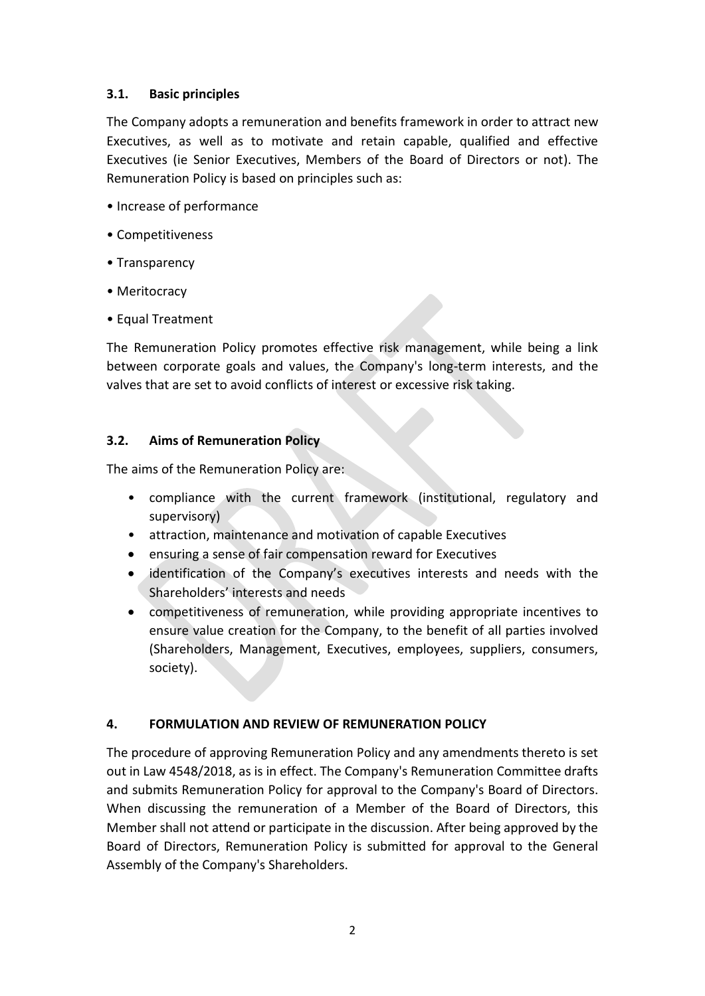### **3.1. Basic principles**

The Company adopts a remuneration and benefits framework in order to attract new Executives, as well as to motivate and retain capable, qualified and effective Executives (ie Senior Executives, Members of the Board of Directors or not). The Remuneration Policy is based on principles such as:

- Increase of performance
- Competitiveness
- Transparency
- Meritocracy
- Equal Treatment

The Remuneration Policy promotes effective risk management, while being a link between corporate goals and values, the Company's long-term interests, and the valves that are set to avoid conflicts of interest or excessive risk taking.

### **3.2. Aims of Remuneration Policy**

The aims of the Remuneration Policy are:

- compliance with the current framework (institutional, regulatory and supervisory)
- attraction, maintenance and motivation of capable Executives
- ensuring a sense of fair compensation reward for Executives
- identification of the Company's executives interests and needs with the Shareholders' interests and needs
- competitiveness of remuneration, while providing appropriate incentives to ensure value creation for the Company, to the benefit of all parties involved (Shareholders, Management, Executives, employees, suppliers, consumers, society).

### **4. FORMULATION AND REVIEW OF REMUNERATION POLICY**

The procedure of approving Remuneration Policy and any amendments thereto is set out in Law 4548/2018, as is in effect. The Company's Remuneration Committee drafts and submits Remuneration Policy for approval to the Company's Board of Directors. When discussing the remuneration of a Member of the Board of Directors, this Member shall not attend or participate in the discussion. After being approved by the Board of Directors, Remuneration Policy is submitted for approval to the General Assembly of the Company's Shareholders.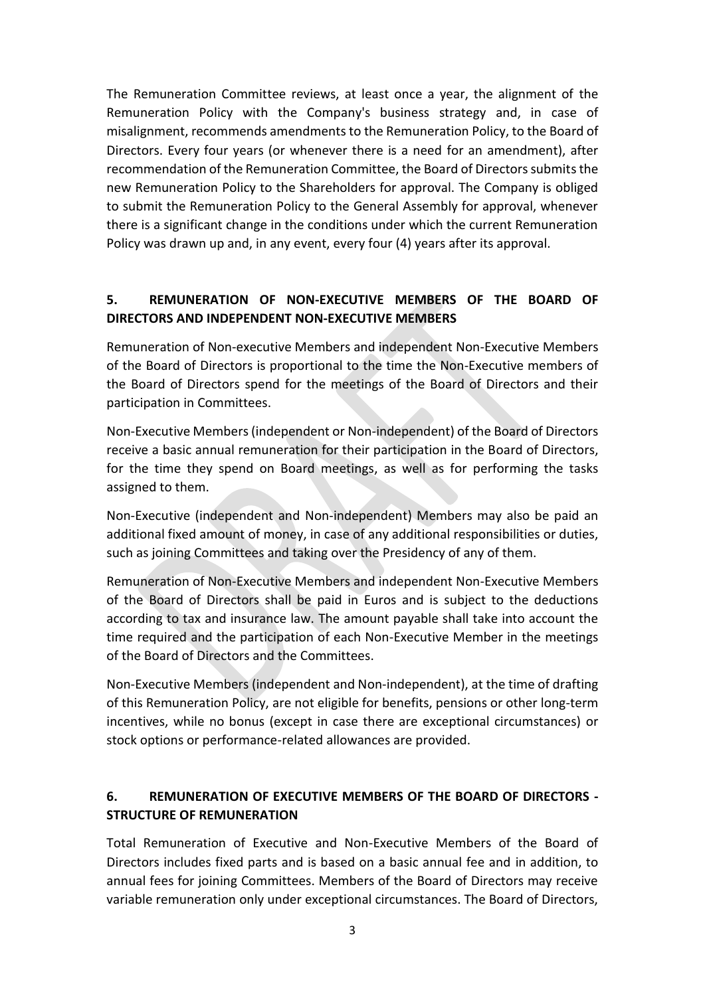The Remuneration Committee reviews, at least once a year, the alignment of the Remuneration Policy with the Company's business strategy and, in case of misalignment, recommends amendments to the Remuneration Policy, to the Board of Directors. Every four years (or whenever there is a need for an amendment), after recommendation of the Remuneration Committee, the Board of Directors submits the new Remuneration Policy to the Shareholders for approval. The Company is obliged to submit the Remuneration Policy to the General Assembly for approval, whenever there is a significant change in the conditions under which the current Remuneration Policy was drawn up and, in any event, every four (4) years after its approval.

### **5. REMUNERATION OF NON-EXECUTIVE MEMBERS OF THE BOARD OF DIRECTORS AND INDEPENDENT NON-EXECUTIVE MEMBERS**

Remuneration of Non-executive Members and independent Non-Executive Members of the Board of Directors is proportional to the time the Non-Executive members of the Board of Directors spend for the meetings of the Board of Directors and their participation in Committees.

Non-Executive Members (independent or Non-independent) of the Board of Directors receive a basic annual remuneration for their participation in the Board of Directors, for the time they spend on Board meetings, as well as for performing the tasks assigned to them.

Non-Executive (independent and Non-independent) Members may also be paid an additional fixed amount of money, in case of any additional responsibilities or duties, such as joining Committees and taking over the Presidency of any of them.

Remuneration of Non-Executive Members and independent Non-Executive Members of the Board of Directors shall be paid in Euros and is subject to the deductions according to tax and insurance law. The amount payable shall take into account the time required and the participation of each Non-Executive Member in the meetings of the Board of Directors and the Committees.

Non-Executive Members (independent and Non-independent), at the time of drafting of this Remuneration Policy, are not eligible for benefits, pensions or other long-term incentives, while no bonus (except in case there are exceptional circumstances) or stock options or performance-related allowances are provided.

# **6. REMUNERATION OF EXECUTIVE MEMBERS OF THE BOARD OF DIRECTORS - STRUCTURE OF REMUNERATION**

Total Remuneration of Executive and Non-Executive Members of the Board of Directors includes fixed parts and is based on a basic annual fee and in addition, to annual fees for joining Committees. Members of the Board of Directors may receive variable remuneration only under exceptional circumstances. The Board of Directors,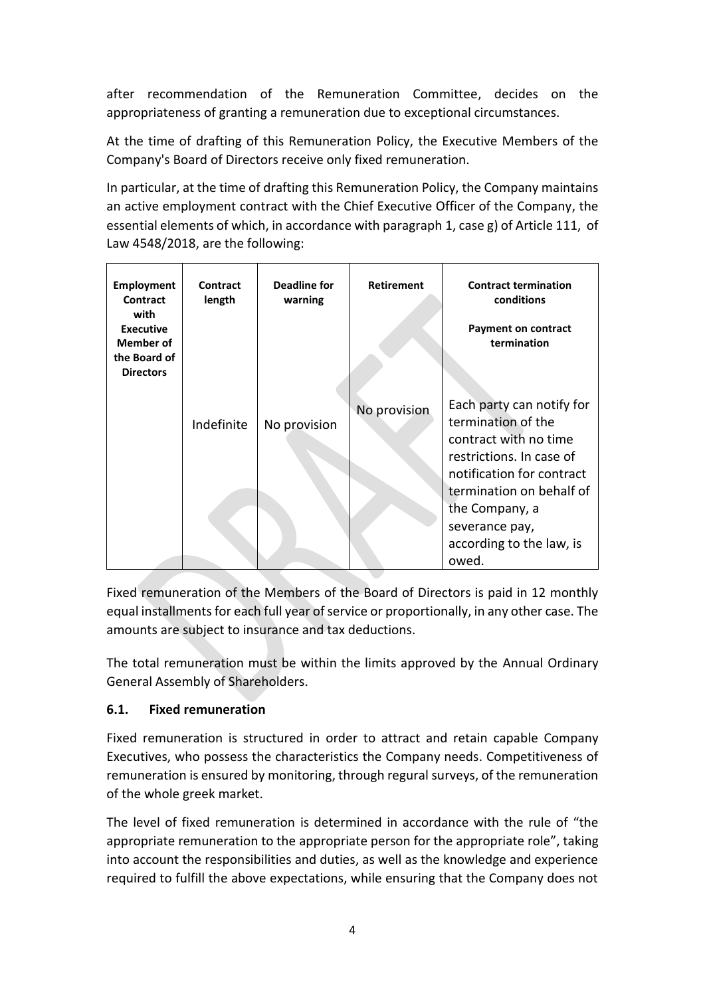after recommendation of the Remuneration Committee, decides on the appropriateness of granting a remuneration due to exceptional circumstances.

At the time of drafting of this Remuneration Policy, the Executive Members of the Company's Board of Directors receive only fixed remuneration.

In particular, at the time of drafting this Remuneration Policy, the Company maintains an active employment contract with the Chief Executive Officer of the Company, the essential elements of which, in accordance with paragraph 1, case g) of Article 111, of Law 4548/2018, are the following:

| <b>Employment</b><br>Contract                                                    | Contract<br>length | Deadline for<br>warning | <b>Retirement</b> | <b>Contract termination</b><br>conditions                                                                                                                                                                                              |
|----------------------------------------------------------------------------------|--------------------|-------------------------|-------------------|----------------------------------------------------------------------------------------------------------------------------------------------------------------------------------------------------------------------------------------|
| with<br><b>Executive</b><br><b>Member of</b><br>the Board of<br><b>Directors</b> |                    |                         |                   | <b>Payment on contract</b><br>termination                                                                                                                                                                                              |
|                                                                                  | Indefinite         | No provision            | No provision      | Each party can notify for<br>termination of the<br>contract with no time<br>restrictions. In case of<br>notification for contract<br>termination on behalf of<br>the Company, a<br>severance pay,<br>according to the law, is<br>owed. |

Fixed remuneration of the Members of the Board of Directors is paid in 12 monthly equal installments for each full year of service or proportionally, in any other case. The amounts are subject to insurance and tax deductions.

The total remuneration must be within the limits approved by the Annual Ordinary General Assembly of Shareholders.

### **6.1. Fixed remuneration**

Fixed remuneration is structured in order to attract and retain capable Company Executives, who possess the characteristics the Company needs. Competitiveness of remuneration is ensured by monitoring, through regural surveys, of the remuneration of the whole greek market.

The level of fixed remuneration is determined in accordance with the rule of "the appropriate remuneration to the appropriate person for the appropriate role", taking into account the responsibilities and duties, as well as the knowledge and experience required to fulfill the above expectations, while ensuring that the Company does not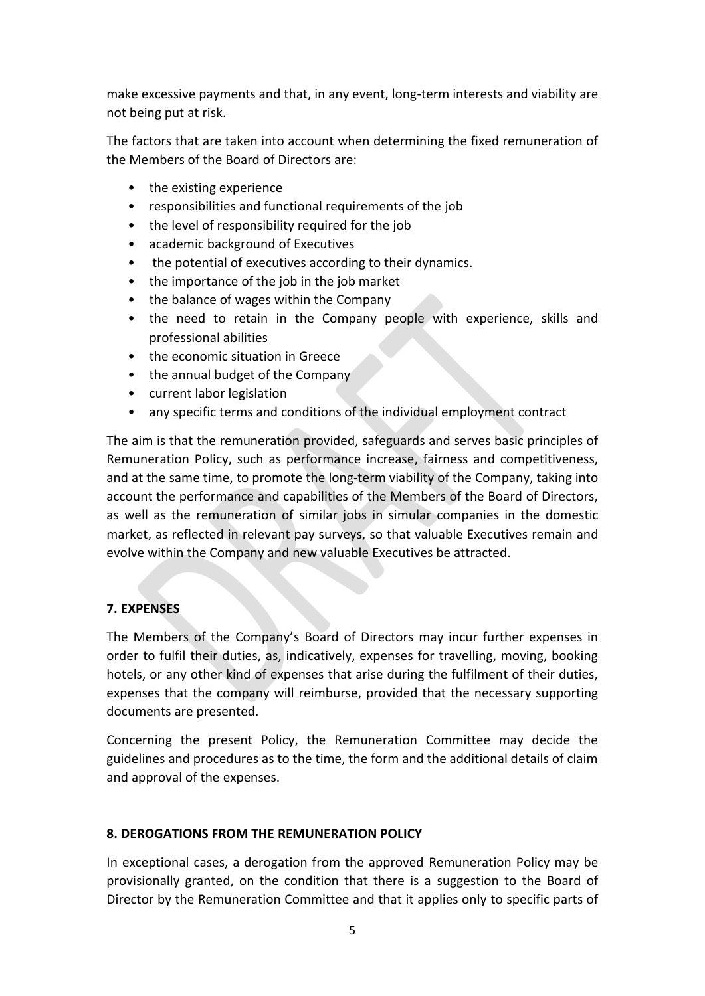make excessive payments and that, in any event, long-term interests and viability are not being put at risk.

The factors that are taken into account when determining the fixed remuneration of the Members of the Board of Directors are:

- the existing experience
- responsibilities and functional requirements of the job
- the level of responsibility required for the job
- academic background of Executives
- the potential of executives according to their dynamics.
- the importance of the job in the job market
- the balance of wages within the Company
- the need to retain in the Company people with experience, skills and professional abilities
- the economic situation in Greece
- the annual budget of the Company
- current labor legislation
- any specific terms and conditions of the individual employment contract

The aim is that the remuneration provided, safeguards and serves basic principles of Remuneration Policy, such as performance increase, fairness and competitiveness, and at the same time, to promote the long-term viability of the Company, taking into account the performance and capabilities of the Members of the Board of Directors, as well as the remuneration of similar jobs in simular companies in the domestic market, as reflected in relevant pay surveys, so that valuable Executives remain and evolve within the Company and new valuable Executives be attracted.

### **7. EXPENSES**

The Members of the Company's Board of Directors may incur further expenses in order to fulfil their duties, as, indicatively, expenses for travelling, moving, booking hotels, or any other kind of expenses that arise during the fulfilment of their duties, expenses that the company will reimburse, provided that the necessary supporting documents are presented.

Concerning the present Policy, the Remuneration Committee may decide the guidelines and procedures as to the time, the form and the additional details of claim and approval of the expenses.

### **8. DEROGATIONS FROM THE REMUNERATION POLICY**

In exceptional cases, a derogation from the approved Remuneration Policy may be provisionally granted, on the condition that there is a suggestion to the Board of Director by the Remuneration Committee and that it applies only to specific parts of